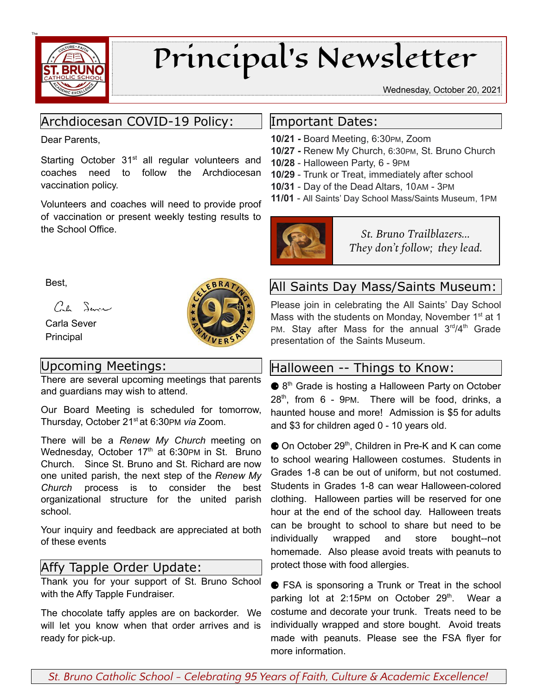

# Principal's Newsletter

Wednesday, October 20, 2021

# Archdiocesan COVID-19 Policy:

Dear Parents,

Starting October 31<sup>st</sup> all regular volunteers and coaches need to follow the Archdiocesan vaccination policy.

Volunteers and coaches will need to provide proof of vaccination or present weekly testing results to the School Office.

BR.

Best,

Cal Sever

Carla Sever Principal

# Upcoming Meetings:

There are several upcoming meetings that parents and guardians may wish to attend.

Our Board Meeting is scheduled for tomorrow, Thursday, October 21<sup>st</sup> at 6:30PM via Zoom.

There will be a *Renew My Church* meeting on Wednesday, October 17<sup>th</sup> at 6:30PM in St. Bruno Church. Since St. Bruno and St. Richard are now one united parish, the next step of the *Renew My Church* process is to consider the best organizational structure for the united parish school.

Your inquiry and feedback are appreciated at both of these events

## Affy Tapple Order Update:

Thank you for your support of St. Bruno School with the Affy Tapple Fundraiser.

The chocolate taffy apples are on backorder. We will let you know when that order arrives and is ready for pick-up.

## Important Dates:

- **10/21 -** Board Meeting, 6:30PM, Zoom
- **10/27 -** Renew My Church, 6:30PM, St. Bruno Church
- **10/28** Halloween Party, 6 9PM
- **10/29** Trunk or Treat, immediately after school
- **10/31** Day of the Dead Altars, 10AM 3PM
- **11/01** All Saints' Day School Mass/Saints Museum, 1PM



*St. Bruno Trailblazers... They don't follow; they lead.*

# All Saints Day Mass/Saints Museum:

Please join in celebrating the All Saints' Day School Mass with the students on Monday, November 1<sup>st</sup> at 1 PM. Stay after Mass for the annual 3<sup>rd</sup>/4<sup>th</sup> Grade presentation of the Saints Museum.

## Halloween -- Things to Know:

● 8<sup>th</sup> Grade is hosting a Halloween Party on October 28 th , from 6 - 9PM. There will be food, drinks, a haunted house and more! Admission is \$5 for adults and \$3 for children aged 0 - 10 years old.

● On October 29<sup>th</sup>, Children in Pre-K and K can come to school wearing Halloween costumes. Students in Grades 1-8 can be out of uniform, but not costumed. Students in Grades 1-8 can wear Halloween-colored clothing. Halloween parties will be reserved for one hour at the end of the school day. Halloween treats can be brought to school to share but need to be individually wrapped and store bought--not homemade. Also please avoid treats with peanuts to protect those with food allergies.

● FSA is sponsoring a Trunk or Treat in the school parking lot at 2:15PM on October 29<sup>th</sup>. Wear a costume and decorate your trunk. Treats need to be individually wrapped and store bought. Avoid treats made with peanuts. Please see the FSA flyer for more information.

*St. Bruno Catholic School - Celebrating 95 Years of Faith, Culture & Academic Excellence!*